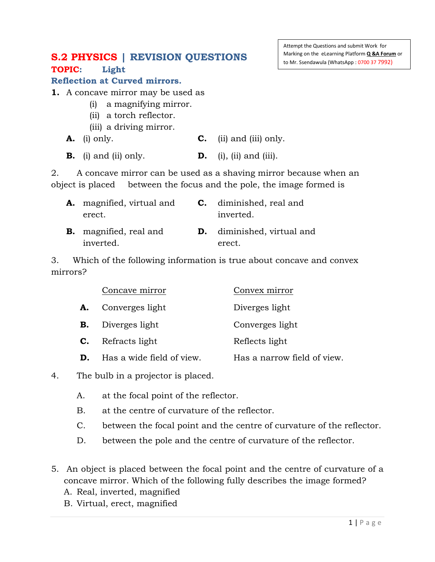## **S.2 PHYSICS | REVISION QUESTIONS TOPIC: Light**

## **Reflection at Curved mirrors.**

- **1.** A concave mirror may be used as
	- (i) a magnifying mirror.
	- (ii) a torch reflector.
	- (iii) a driving mirror.
	- **A.** (i) only. **C.** (ii) and (iii) only.
	- **B.** (i) and (ii) only. **D.** (i), (ii) and (iii).

2. A concave mirror can be used as a shaving mirror because when an object is placed between the focus and the pole, the image formed is

| <b>A.</b> magnified, virtual and<br>erect. | <b>C.</b> diminished, real and<br>inverted. |
|--------------------------------------------|---------------------------------------------|
| <b>B.</b> magnified, real and<br>inverted. | <b>D.</b> diminished, virtual and<br>erect. |

3. Which of the following information is true about concave and convex mirrors?

|    | Concave mirror            | Convex mirror               |
|----|---------------------------|-----------------------------|
| А. | Converges light           | Diverges light              |
| В. | Diverges light            | Converges light             |
| C. | Refracts light            | Reflects light              |
| D. | Has a wide field of view. | Has a narrow field of view. |

4. The bulb in a projector is placed.

- A. at the focal point of the reflector.
- B. at the centre of curvature of the reflector.
- C. between the focal point and the centre of curvature of the reflector.
- D. between the pole and the centre of curvature of the reflector.
- 5. An object is placed between the focal point and the centre of curvature of a concave mirror. Which of the following fully describes the image formed?
	- A. Real, inverted, magnified
	- B. Virtual, erect, magnified